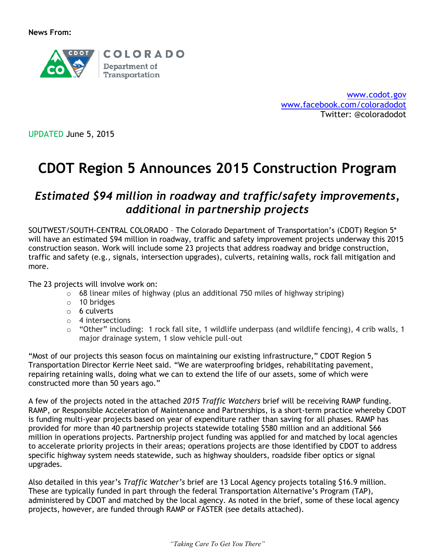

[www.codot.gov](http://www.codot.gov/) [www.facebook.com/coloradodot](http://www.facebook.com/coloradodot) Twitter: @coloradodot

UPDATED June 5, 2015

# **CDOT Region 5 Announces 2015 Construction Program**

## *Estimated \$94 million in roadway and traffic/safety improvements, additional in partnership projects*

SOUTWEST/SOUTH-CENTRAL COLORADO – The Colorado Department of Transportation's (CDOT) Region 5\* will have an estimated \$94 million in roadway, traffic and safety improvement projects underway this 2015 construction season. Work will include some 23 projects that address roadway and bridge construction, traffic and safety (e.g., signals, intersection upgrades), culverts, retaining walls, rock fall mitigation and more.

#### The 23 projects will involve work on:

- $\circ$  68 linear miles of highway (plus an additional 750 miles of highway striping)
- o 10 bridges
- o 6 culverts
- o 4 intersections
- o "Other" including: 1 rock fall site, 1 wildlife underpass (and wildlife fencing), 4 crib walls, 1 major drainage system, 1 slow vehicle pull-out

"Most of our projects this season focus on maintaining our existing infrastructure," CDOT Region 5 Transportation Director Kerrie Neet said. "We are waterproofing bridges, rehabilitating pavement, repairing retaining walls, doing what we can to extend the life of our assets, some of which were constructed more than 50 years ago."

A few of the projects noted in the attached *2015 Traffic Watchers* brief will be receiving RAMP funding. RAMP, or Responsible Acceleration of Maintenance and Partnerships, is a short-term practice whereby CDOT is funding multi-year projects based on year of expenditure rather than saving for all phases. RAMP has provided for more than 40 partnership projects statewide totaling \$580 million and an additional \$66 million in operations projects. Partnership project funding was applied for and matched by local agencies to accelerate priority projects in their areas; operations projects are those identified by CDOT to address specific highway system needs statewide, such as highway shoulders, roadside fiber optics or signal upgrades.

Also detailed in this year's *Traffic Watcher's* brief are 13 Local Agency projects totaling \$16.9 million. These are typically funded in part through the federal Transportation Alternative's Program (TAP), administered by CDOT and matched by the local agency. As noted in the brief, some of these local agency projects, however, are funded through RAMP or FASTER (see details attached).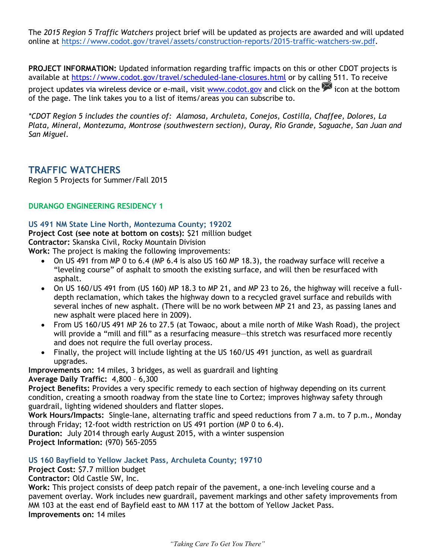The *2015 Region 5 Traffic Watchers* project brief will be updated as projects are awarded and will updated online at [https://www.codot.gov/travel/assets/construction-reports/2015-traffic-watchers-sw.pdf.](https://www.codot.gov/travel/assets/construction-reports/2015-traffic-watchers-sw.pdf)

**PROJECT INFORMATION:** Updated information regarding traffic impacts on this or other CDOT projects is available at<https://www.codot.gov/travel/scheduled-lane-closures.html> or by calling 511. To receive project updates via wireless device or e-mail, visit [www.codot.gov](http://www.codot.gov/) and click on the icon at the bottom of the page. The link takes you to a list of items/areas you can subscribe to.

*\*CDOT Region 5 includes the counties of: Alamosa, Archuleta, Conejos, Costilla, Chaffee, Dolores, La Plata, Mineral, Montezuma, Montrose (southwestern section), Ouray, Rio Grande, Saguache, San Juan and San Miguel.*

### **TRAFFIC WATCHERS**

Region 5 Projects for Summer/Fall 2015

#### **DURANGO ENGINEERING RESIDENCY 1**

#### **US 491 NM State Line North, Montezuma County; 19202**

**Project Cost (see note at bottom on costs):** \$21 million budget

**Contractor:** Skanska Civil, Rocky Mountain Division

**Work:** The project is making the following improvements:

- On US 491 from MP 0 to 6.4 (MP 6.4 is also US 160 MP 18.3), the roadway surface will receive a "leveling course" of asphalt to smooth the existing surface, and will then be resurfaced with asphalt.
- On US 160/US 491 from (US 160) MP 18.3 to MP 21, and MP 23 to 26, the highway will receive a fulldepth reclamation, which takes the highway down to a recycled gravel surface and rebuilds with several inches of new asphalt. (There will be no work between MP 21 and 23, as passing lanes and new asphalt were placed here in 2009).
- From US 160/US 491 MP 26 to 27.5 (at Towaoc, about a mile north of Mike Wash Road), the project will provide a "mill and fill" as a resurfacing measure—this stretch was resurfaced more recently and does not require the full overlay process.
- Finally, the project will include lighting at the US 160/US 491 junction, as well as guardrail upgrades.

**Improvements on:** 14 miles, 3 bridges, as well as guardrail and lighting **Average Daily Traffic:** 4,800 – 6,300

**Project Benefits:** Provides a very specific remedy to each section of highway depending on its current condition, creating a smooth roadway from the state line to Cortez; improves highway safety through guardrail, lighting widened shoulders and flatter slopes.

**Work Hours/Impacts:** Single-lane, alternating traffic and speed reductions from 7 a.m. to 7 p.m., Monday through Friday; 12-foot width restriction on US 491 portion (MP 0 to 6.4).

**Duration:** July 2014 through early August 2015, with a winter suspension **Project Information:** (970) 565-2055

**US 160 Bayfield to Yellow Jacket Pass, Archuleta County; 19710**

**Project Cost:** \$7.7 million budget

**Contractor:** Old Castle SW, Inc.

**Work:** This project consists of deep patch repair of the pavement, a one-inch leveling course and a pavement overlay. Work includes new guardrail, pavement markings and other safety improvements from MM 103 at the east end of Bayfield east to MM 117 at the bottom of Yellow Jacket Pass. **Improvements on:** 14 miles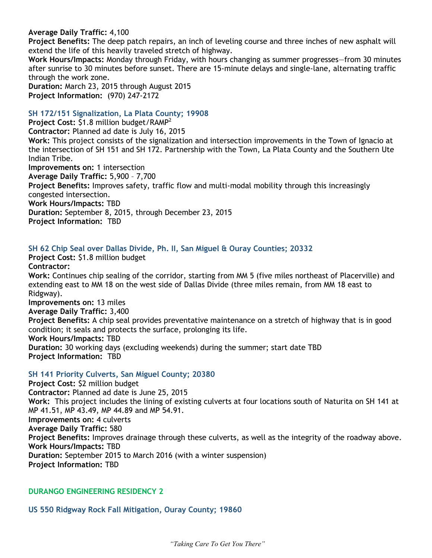**Average Daily Traffic:** 4,100

**Project Benefits:** The deep patch repairs, an inch of leveling course and three inches of new asphalt will extend the life of this heavily traveled stretch of highway.

**Work Hours/Impacts:** Monday through Friday, with hours changing as summer progresses—from 30 minutes after sunrise to 30 minutes before sunset. There are 15-minute delays and single-lane, alternating traffic through the work zone.

**Duration:** March 23, 2015 through August 2015 **Project Information:** (970) 247-2172

#### **SH 172/151 Signalization, La Plata County; 19908**

**Project Cost:** \$1.8 million budget/RAMP<sup>2</sup> **Contractor:** Planned ad date is July 16, 2015 **Work:** This project consists of the signalization and intersection improvements in the Town of Ignacio at the intersection of SH 151 and SH 172. Partnership with the Town, La Plata County and the Southern Ute Indian Tribe. **Improvements on:** 1 intersection **Average Daily Traffic:** 5,900 – 7,700 **Project Benefits:** Improves safety, traffic flow and multi-modal mobility through this increasingly congested intersection. **Work Hours/Impacts:** TBD **Duration:** September 8, 2015, through December 23, 2015 **Project Information:** TBD

#### **SH 62 Chip Seal over Dallas Divide, Ph. II, San Miguel & Ouray Counties; 20332**

**Project Cost:** \$1.8 million budget **Contractor: Work:** Continues chip sealing of the corridor, starting from MM 5 (five miles northeast of Placerville) and extending east to MM 18 on the west side of Dallas Divide (three miles remain, from MM 18 east to Ridgway). **Improvements on:** 13 miles **Average Daily Traffic:** 3,400 **Project Benefits:** A chip seal provides preventative maintenance on a stretch of highway that is in good condition; it seals and protects the surface, prolonging its life. **Work Hours/Impacts:** TBD **Duration:** 30 working days (excluding weekends) during the summer; start date TBD **Project Information:** TBD

#### **SH 141 Priority Culverts, San Miguel County; 20380**

**Project Cost:** \$2 million budget **Contractor:** Planned ad date is June 25, 2015 **Work:** This project includes the lining of existing culverts at four locations south of Naturita on SH 141 at MP 41.51, MP 43.49, MP 44.89 and MP 54.91. **Improvements on:** 4 culverts **Average Daily Traffic:** 580 **Project Benefits:** Improves drainage through these culverts, as well as the integrity of the roadway above. **Work Hours/Impacts:** TBD **Duration:** September 2015 to March 2016 (with a winter suspension) **Project Information:** TBD

#### **DURANGO ENGINEERING RESIDENCY 2**

**US 550 Ridgway Rock Fall Mitigation, Ouray County; 19860**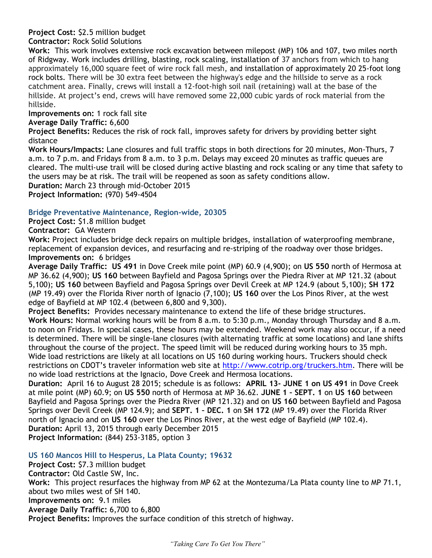## **Project Cost:** \$2.5 million budget

#### **Contractor:** Rock Solid Solutions

**Work:** This work involves extensive rock excavation between milepost (MP) 106 and 107, two miles north of Ridgway. Work includes drilling, blasting, rock scaling, installation of 37 anchors from which to hang approximately 16,000 square feet of wire rock fall mesh, and installation of approximately 20 25-foot long rock bolts. There will be 30 extra feet between the highway's edge and the hillside to serve as a rock catchment area. Finally, crews will install a 12-foot-high soil nail (retaining) wall at the base of the hillside. At project's end, crews will have removed some 22,000 cubic yards of rock material from the hillside.

**Improvements on:** 1 rock fall site

#### **Average Daily Traffic:** 6,600

**Project Benefits:** Reduces the risk of rock fall, improves safety for drivers by providing better sight distance

**Work Hours/Impacts:** Lane closures and full traffic stops in both directions for 20 minutes, Mon-Thurs, 7 a.m. to 7 p.m. and Fridays from 8 a.m. to 3 p.m. Delays may exceed 20 minutes as traffic queues are cleared. The multi-use trail will be closed during active blasting and rock scaling or any time that safety to the users may be at risk. The trail will be reopened as soon as safety conditions allow. **Duration:** March 23 through mid-October 2015

**Project Information:** (970) 549-4504

#### **Bridge Preventative Maintenance, Region-wide, 20305**

**Project Cost:** \$1.8 million budget **Contractor:** GA Western

**Work:** Project includes bridge deck repairs on multiple bridges, installation of waterproofing membrane, replacement of expansion devices, and resurfacing and re-striping of the roadway over those bridges. **Improvements on:** 6 bridges

**Average Daily Traffic: US 491** in Dove Creek mile point (MP) 60.9 (4,900); on **US 550** north of Hermosa at MP 36.62 (4,900); **US 160** between Bayfield and Pagosa Springs over the Piedra River at MP 121.32 (about 5,100); **US 160** between Bayfield and Pagosa Springs over Devil Creek at MP 124.9 (about 5,100); **SH 172** (MP 19.49) over the Florida River north of Ignacio (7,100); **US 160** over the Los Pinos River, at the west edge of Bayfield at MP 102.4 (between 6,800 and 9,300).

**Project Benefits:** Provides necessary maintenance to extend the life of these bridge structures. **Work Hours:** Normal working hours will be from 8 a.m. to 5:30 p.m., Monday through Thursday and 8 a.m. to noon on Fridays. In special cases, these hours may be extended. Weekend work may also occur, if a need is determined. There will be single-lane closures (with alternating traffic at some locations) and lane shifts throughout the course of the project. The speed limit will be reduced during working hours to 35 mph. Wide load restrictions are likely at all locations on US 160 during working hours. Truckers should check restrictions on CDOT's traveler information web site at [http://www.cotrip.org/truckers.htm.](http://www.cotrip.org/truckers.htm) There will be no wide load restrictions at the Ignacio, Dove Creek and Hermosa locations.

**Duration:** April 16 to August 28 2015; schedule is as follows: **APRIL 13- JUNE 1 on US 491** in Dove Creek at mile point (MP) 60.9; on **US 550** north of Hermosa at MP 36.62. **JUNE 1 – SEPT. 1** on **US 160** between Bayfield and Pagosa Springs over the Piedra River (MP 121.32) and on **US 160** between Bayfield and Pagosa Springs over Devil Creek (MP 124.9); and **SEPT. 1 – DEC. 1** on **SH 172** (MP 19.49) over the Florida River north of Ignacio and on **US 160** over the Los Pinos River, at the west edge of Bayfield (MP 102.4). **Duration:** April 13, 2015 through early December 2015 **Project Information:** (844) 253-3185, option 3

**US 160 Mancos Hill to Hesperus, La Plata County; 19632**

**Project Cost:** \$7.3 million budget

**Contractor:** Old Castle SW, Inc.

**Work:** This project resurfaces the highway from MP 62 at the Montezuma/La Plata county line to MP 71.1, about two miles west of SH 140.

**Improvements on:** 9.1 miles

**Average Daily Traffic:** 6,700 to 6,800

**Project Benefits:** Improves the surface condition of this stretch of highway.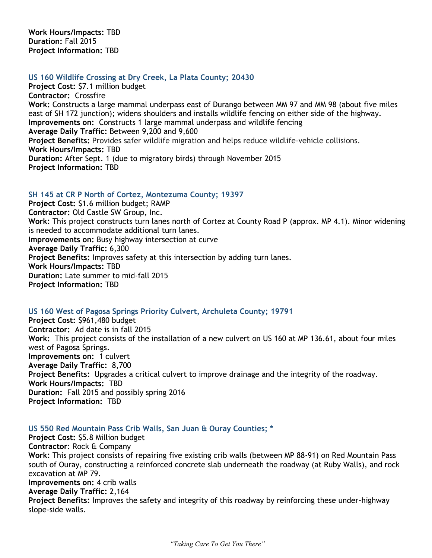**Work Hours/Impacts:** TBD **Duration:** Fall 2015 **Project Information:** TBD

#### **US 160 Wildlife Crossing at Dry Creek, La Plata County; 20430**

**Project Cost:** \$7.1 million budget **Contractor:** Crossfire **Work:** Constructs a large mammal underpass east of Durango between MM 97 and MM 98 (about five miles east of SH 172 junction); widens shoulders and installs wildlife fencing on either side of the highway. **Improvements on:** Constructs 1 large mammal underpass and wildlife fencing **Average Daily Traffic:** Between 9,200 and 9,600 **Project Benefits:** Provides safer wildlife migration and helps reduce wildlife-vehicle collisions. **Work Hours/Impacts:** TBD **Duration:** After Sept. 1 (due to migratory birds) through November 2015 **Project Information:** TBD

#### **SH 145 at CR P North of Cortez, Montezuma County; 19397**

**Project Cost:** \$1.6 million budget; RAMP **Contractor:** Old Castle SW Group, Inc. **Work:** This project constructs turn lanes north of Cortez at County Road P (approx. MP 4.1). Minor widening is needed to accommodate additional turn lanes. **Improvements on:** Busy highway intersection at curve **Average Daily Traffic:** 6,300 **Project Benefits:** Improves safety at this intersection by adding turn lanes. **Work Hours/Impacts:** TBD **Duration:** Late summer to mid-fall 2015 **Project Information:** TBD

#### **US 160 West of Pagosa Springs Priority Culvert, Archuleta County; 19791**

**Project Cost:** \$961,480 budget **Contractor:** Ad date is in fall 2015 **Work:** This project consists of the installation of a new culvert on US 160 at MP 136.61, about four miles west of Pagosa Springs. **Improvements on:** 1 culvert **Average Daily Traffic:** 8,700 **Project Benefits:** Upgrades a critical culvert to improve drainage and the integrity of the roadway. **Work Hours/Impacts:** TBD **Duration:** Fall 2015 and possibly spring 2016 **Project Information:** TBD

#### **US 550 Red Mountain Pass Crib Walls, San Juan & Ouray Counties; \***

**Project Cost:** \$5.8 Million budget **Contractor**: Rock & Company **Work:** This project consists of repairing five existing crib walls (between MP 88-91) on Red Mountain Pass south of Ouray, constructing a reinforced concrete slab underneath the roadway (at Ruby Walls), and rock excavation at MP 79. **Improvements on:** 4 crib walls **Average Daily Traffic:** 2,164 **Project Benefits:** Improves the safety and integrity of this roadway by reinforcing these under-highway slope-side walls.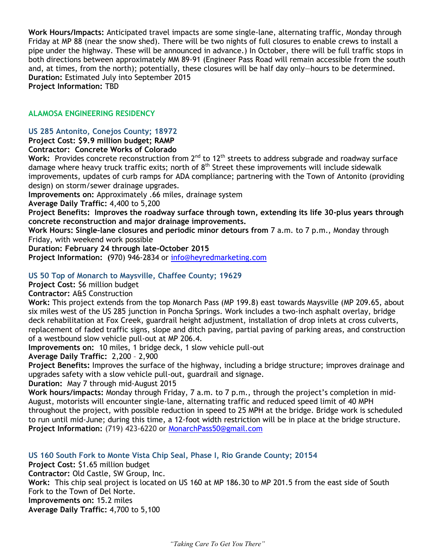**Work Hours/Impacts:** Anticipated travel impacts are some single-lane, alternating traffic, Monday through Friday at MP 88 (near the snow shed). There will be two nights of full closures to enable crews to install a pipe under the highway. These will be announced in advance.) In October, there will be full traffic stops in both directions between approximately MM 89-91 (Engineer Pass Road will remain accessible from the south and, at times, from the north); potentially, these closures will be half day only—hours to be determined. **Duration:** Estimated July into September 2015 **Project Information:** TBD

#### **ALAMOSA ENGINEERING RESIDENCY**

#### **US 285 Antonito, Conejos County; 18972**

**Project Cost: \$9.9 million budget; RAMP**

#### **Contractor: Concrete Works of Colorado**

Work: Provides concrete reconstruction from 2<sup>nd</sup> to 12<sup>th</sup> streets to address subgrade and roadway surface damage where heavy truck traffic exits; north of  $8<sup>th</sup>$  Street these improvements will include sidewalk improvements, updates of curb ramps for ADA compliance; partnering with the Town of Antonito (providing design) on storm/sewer drainage upgrades.

**Improvements on:** Approximately .66 miles, drainage system

**Average Daily Traffic:** 4,400 to 5,200

**Project Benefits: Improves the roadway surface through town, extending its life 30-plus years through concrete reconstruction and major drainage improvements.**

**Work Hours: Single-lane closures and periodic minor detours from** 7 a.m. to 7 p.m., Monday through Friday, with weekend work possible

**Duration: February 24 through late-October 2015**

**Project Information: (**970) 946-2834 or [info@heyredmarketing.com](mailto:info@heyredmarketing.com)

#### **US 50 Top of Monarch to Maysville, Chaffee County; 19629**

**Project Cost:** \$6 million budget

**Contractor:** A&S Construction

**Work:** This project extends from the top Monarch Pass (MP 199.8) east towards Maysville (MP 209.65, about six miles west of the US 285 junction in Poncha Springs. Work includes a two-inch asphalt overlay, bridge deck rehabilitation at Fox Creek, guardrail height adjustment, installation of drop inlets at cross culverts, replacement of faded traffic signs, slope and ditch paving, partial paving of parking areas, and construction of a westbound slow vehicle pull-out at MP 206.4.

**Improvements on:** 10 miles, 1 bridge deck, 1 slow vehicle pull-out

**Average Daily Traffic:** 2,200 – 2,900

**Project Benefits:** Improves the surface of the highway, including a bridge structure; improves drainage and upgrades safety with a slow vehicle pull-out, guardrail and signage.

**Duration:** May 7 through mid-August 2015

**Work hours/impacts:** Monday through Friday, 7 a.m. to 7 p.m., through the project's completion in mid-August, motorists will encounter single-lane, alternating traffic and reduced speed limit of 40 MPH throughout the project, with possible reduction in speed to 25 MPH at the bridge. Bridge work is scheduled to run until mid-June; during this time, a 12-foot width restriction will be in place at the bridge structure. **Project Information:** (719) 423-6220 or [MonarchPass50@gmail.com](mailto:MonarchPass50@gmail.com)

**US 160 South Fork to Monte Vista Chip Seal, Phase I, Rio Grande County; 20154 Project Cost:** \$1.65 million budget **Contractor:** Old Castle, SW Group, Inc. **Work:** This chip seal project is located on US 160 at MP 186.30 to MP 201.5 from the east side of South Fork to the Town of Del Norte. **Improvements on:** 15.2 miles **Average Daily Traffic:** 4,700 to 5,100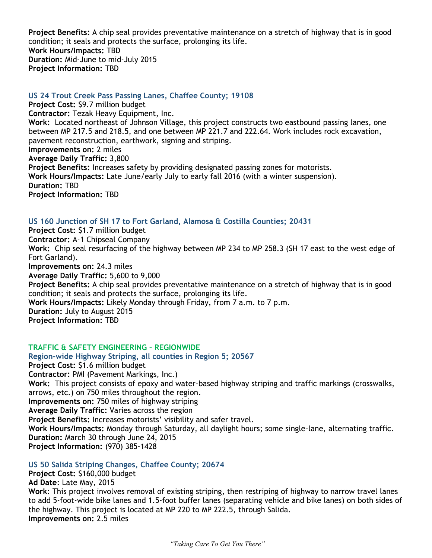**Project Benefits:** A chip seal provides preventative maintenance on a stretch of highway that is in good condition; it seals and protects the surface, prolonging its life. **Work Hours/Impacts:** TBD **Duration:** Mid-June to mid-July 2015 **Project Information:** TBD

#### **US 24 Trout Creek Pass Passing Lanes, Chaffee County; 19108**

**Project Cost:** \$9.7 million budget **Contractor:** Tezak Heavy Equipment, Inc. **Work:** Located northeast of Johnson Village, this project constructs two eastbound passing lanes, one between MP 217.5 and 218.5, and one between MP 221.7 and 222.64. Work includes rock excavation, pavement reconstruction, earthwork, signing and striping. **Improvements on:** 2 miles **Average Daily Traffic:** 3,800 **Project Benefits:** Increases safety by providing designated passing zones for motorists. **Work Hours/Impacts:** Late June/early July to early fall 2016 (with a winter suspension). **Duration:** TBD **Project Information:** TBD

#### **US 160 Junction of SH 17 to Fort Garland, Alamosa & Costilla Counties; 20431**

**Project Cost:** \$1.7 million budget **Contractor:** A-1 Chipseal Company **Work:** Chip seal resurfacing of the highway between MP 234 to MP 258.3 (SH 17 east to the west edge of Fort Garland). **Improvements on:** 24.3 miles **Average Daily Traffic:** 5,600 to 9,000 **Project Benefits:** A chip seal provides preventative maintenance on a stretch of highway that is in good condition; it seals and protects the surface, prolonging its life. **Work Hours/Impacts:** Likely Monday through Friday, from 7 a.m. to 7 p.m. **Duration:** July to August 2015 **Project Information:** TBD

#### **TRAFFIC & SAFETY ENGINEERING – REGIONWIDE**

**Region-wide Highway Striping, all counties in Region 5; 20567 Project Cost:** \$1.6 million budget **Contractor:** PMI (Pavement Markings, Inc.) **Work:** This project consists of epoxy and water-based highway striping and traffic markings (crosswalks, arrows, etc.) on 750 miles throughout the region. **Improvements on:** 750 miles of highway striping **Average Daily Traffic:** Varies across the region **Project Benefits:** Increases motorists' visibility and safer travel. **Work Hours/Impacts:** Monday through Saturday, all daylight hours; some single-lane, alternating traffic. **Duration:** March 30 through June 24, 2015 **Project Information:** (970) 385-1428

#### **US 50 Salida Striping Changes, Chaffee County; 20674**

**Project Cost:** \$160,000 budget **Ad Date**: Late May, 2015 **Work**: This project involves removal of existing striping, then restriping of highway to narrow travel lanes to add 5-foot-wide bike lanes and 1.5-foot buffer lanes (separating vehicle and bike lanes) on both sides of the highway. This project is located at MP 220 to MP 222.5, through Salida. **Improvements on:** 2.5 miles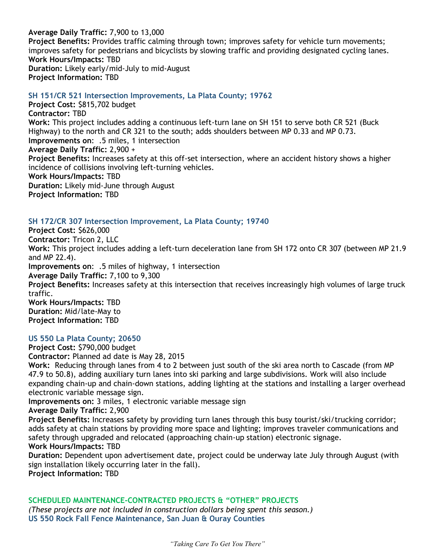**Average Daily Traffic:** 7,900 to 13,000 **Project Benefits:** Provides traffic calming through town; improves safety for vehicle turn movements; improves safety for pedestrians and bicyclists by slowing traffic and providing designated cycling lanes. **Work Hours/Impacts:** TBD **Duration:** Likely early/mid-July to mid-August **Project Information:** TBD

#### **SH 151/CR 521 Intersection Improvements, La Plata County; 19762**

**Project Cost:** \$815,702 budget **Contractor:** TBD **Work:** This project includes adding a continuous left-turn lane on SH 151 to serve both CR 521 (Buck Highway) to the north and CR 321 to the south; adds shoulders between MP 0.33 and MP 0.73. **Improvements on**: .5 miles, 1 intersection **Average Daily Traffic:** 2,900 + **Project Benefits:** Increases safety at this off-set intersection, where an accident history shows a higher incidence of collisions involving left-turning vehicles. **Work Hours/Impacts:** TBD **Duration:** Likely mid-June through August **Project Information:** TBD

#### **SH 172/CR 307 Intersection Improvement, La Plata County; 19740**

**Project Cost:** \$626,000 **Contractor:** Tricon 2, LLC **Work:** This project includes adding a left-turn deceleration lane from SH 172 onto CR 307 (between MP 21.9 and MP 22.4). **Improvements on**: .5 miles of highway, 1 intersection **Average Daily Traffic:** 7,100 to 9,300 **Project Benefits:** Increases safety at this intersection that receives increasingly high volumes of large truck traffic. **Work Hours/Impacts:** TBD **Duration:** Mid/late-May to **Project Information:** TBD

#### **US 550 La Plata County; 20650**

**Project Cost:** \$790,000 budget **Contractor:** Planned ad date is May 28, 2015

**Work:** Reducing through lanes from 4 to 2 between just south of the ski area north to Cascade (from MP 47.9 to 50.8), adding auxiliary turn lanes into ski parking and large subdivisions. Work will also include expanding chain-up and chain-down stations, adding lighting at the stations and installing a larger overhead electronic variable message sign.

**Improvements on:** 3 miles, 1 electronic variable message sign

**Average Daily Traffic:** 2,900

**Project Benefits:** Increases safety by providing turn lanes through this busy tourist/ski/trucking corridor; adds safety at chain stations by providing more space and lighting; improves traveler communications and safety through upgraded and relocated (approaching chain-up station) electronic signage. **Work Hours/Impacts:** TBD

## **Duration:** Dependent upon advertisement date, project could be underway late July through August (with sign installation likely occurring later in the fall).

**Project Information:** TBD

#### **SCHEDULED MAINTENANCE-CONTRACTED PROJECTS & "OTHER" PROJECTS**

*(These projects are not included in construction dollars being spent this season.)*  **US 550 Rock Fall Fence Maintenance, San Juan & Ouray Counties**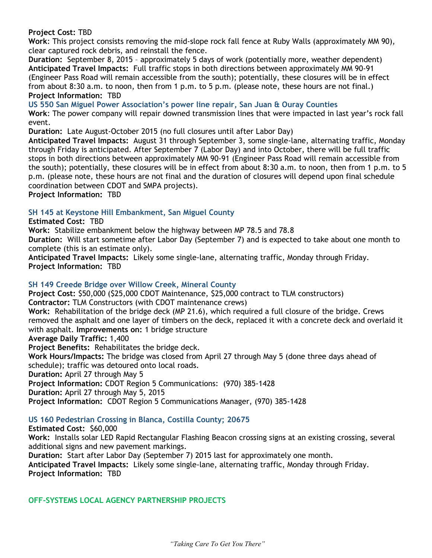**Project Cost:** TBD

**Work**: This project consists removing the mid-slope rock fall fence at Ruby Walls (approximately MM 90), clear captured rock debris, and reinstall the fence.

**Duration:** September 8, 2015 – approximately 5 days of work (potentially more, weather dependent) **Anticipated Travel Impacts:** Full traffic stops in both directions between approximately MM 90-91 (Engineer Pass Road will remain accessible from the south); potentially, these closures will be in effect from about 8:30 a.m. to noon, then from 1 p.m. to 5 p.m. (please note, these hours are not final.) **Project Information:** TBD

**US 550 San Miguel Power Association's power line repair, San Juan & Ouray Counties**

**Work**: The power company will repair downed transmission lines that were impacted in last year's rock fall event.

**Duration:** Late August-October 2015 (no full closures until after Labor Day)

**Anticipated Travel Impacts:** August 31 through September 3, some single-lane, alternating traffic, Monday through Friday is anticipated. After September 7 (Labor Day) and into October, there will be full traffic stops in both directions between approximately MM 90-91 (Engineer Pass Road will remain accessible from the south); potentially, these closures will be in effect from about 8:30 a.m. to noon, then from 1 p.m. to 5 p.m. (please note, these hours are not final and the duration of closures will depend upon final schedule coordination between CDOT and SMPA projects).

**Project Information:** TBD

#### **SH 145 at Keystone Hill Embankment, San Miguel County**

#### **Estimated Cost:** TBD

**Work:** Stabilize embankment below the highway between MP 78.5 and 78.8

**Duration:** Will start sometime after Labor Day (September 7) and is expected to take about one month to complete (this is an estimate only).

**Anticipated Travel Impacts:** Likely some single-lane, alternating traffic, Monday through Friday. **Project Information:** TBD

#### **SH 149 Creede Bridge over Willow Creek, Mineral County**

**Project Cost:** \$50,000 (\$25,000 CDOT Maintenance, \$25,000 contract to TLM constructors) **Contractor:** TLM Constructors (with CDOT maintenance crews)

**Work:** Rehabilitation of the bridge deck (MP 21.6), which required a full closure of the bridge. Crews removed the asphalt and one layer of timbers on the deck, replaced it with a concrete deck and overlaid it with asphalt. **Improvements on:** 1 bridge structure

**Average Daily Traffic:** 1,400

**Project Benefits:** Rehabilitates the bridge deck.

**Work Hours/Impacts:** The bridge was closed from April 27 through May 5 (done three days ahead of schedule); traffic was detoured onto local roads.

**Duration:** April 27 through May 5

**Project Information:** CDOT Region 5 Communications: (970) 385-1428

**Duration:** April 27 through May 5, 2015

**Project Information:** CDOT Region 5 Communications Manager, (970) 385-1428

#### **US 160 Pedestrian Crossing in Blanca, Costilla County; 20675**

#### **Estimated Cost:** \$60,000

**Work:** Installs solar LED Rapid Rectangular Flashing Beacon crossing signs at an existing crossing, several additional signs and new pavement markings.

**Duration:** Start after Labor Day (September 7) 2015 last for approximately one month. **Anticipated Travel Impacts:** Likely some single-lane, alternating traffic, Monday through Friday. **Project Information:** TBD

#### **OFF-SYSTEMS LOCAL AGENCY PARTNERSHIP PROJECTS**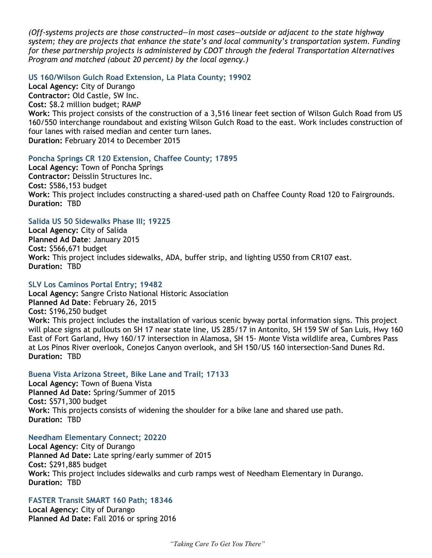*(Off-systems projects are those constructed—in most cases—outside or adjacent to the state highway system; they are projects that enhance the state's and local community's transportation system. Funding for these partnership projects is administered by CDOT through the federal Transportation Alternatives Program and matched (about 20 percent) by the local agency.)*

#### **US 160/Wilson Gulch Road Extension, La Plata County; 19902**

**Local Agency:** City of Durango **Contractor:** Old Castle, SW Inc. **Cost:** \$8.2 million budget; RAMP **Work:** This project consists of the construction of a 3,516 linear feet section of Wilson Gulch Road from US 160/550 interchange roundabout and existing Wilson Gulch Road to the east. Work includes construction of four lanes with raised median and center turn lanes. **Duration:** February 2014 to December 2015

#### **Poncha Springs CR 120 Extension, Chaffee County; 17895**

**Local Agency:** Town of Poncha Springs **Contractor:** Deisslin Structures Inc. **Cost:** \$586,153 budget **Work:** This project includes constructing a shared-used path on Chaffee County Road 120 to Fairgrounds. **Duration:** TBD

#### **Salida US 50 Sidewalks Phase III; 19225**

**Local Agency:** City of Salida **Planned Ad Date**: January 2015 **Cost:** \$566,671 budget **Work:** This project includes sidewalks, ADA, buffer strip, and lighting US50 from CR107 east. **Duration:** TBD

#### **SLV Los Caminos Portal Entry; 19482**

**Local Agency:** Sangre Cristo National Historic Association **Planned Ad Date**: February 26, 2015 **Cost:** \$196,250 budget **Work:** This project includes the installation of various scenic byway portal information signs. This project will place signs at pullouts on SH 17 near state line, US 285/17 in Antonito, SH 159 SW of San Luis, Hwy 160 East of Fort Garland, Hwy 160/17 intersection in Alamosa, SH 15- Monte Vista wildlife area, Cumbres Pass at Los Pinos River overlook, Conejos Canyon overlook, and SH 150/US 160 intersection-Sand Dunes Rd. **Duration:** TBD

#### **Buena Vista Arizona Street, Bike Lane and Trail; 17133**

**Local Agency:** Town of Buena Vista **Planned Ad Date:** Spring/Summer of 2015 **Cost:** \$571,300 budget **Work:** This projects consists of widening the shoulder for a bike lane and shared use path. **Duration:** TBD

#### **Needham Elementary Connect; 20220**

**Local Agency**: City of Durango **Planned Ad Date:** Late spring/early summer of 2015 **Cost:** \$291,885 budget **Work:** This project includes sidewalks and curb ramps west of Needham Elementary in Durango. **Duration:** TBD

#### **FASTER Transit SMART 160 Path; 18346**

**Local Agency:** City of Durango **Planned Ad Date:** Fall 2016 or spring 2016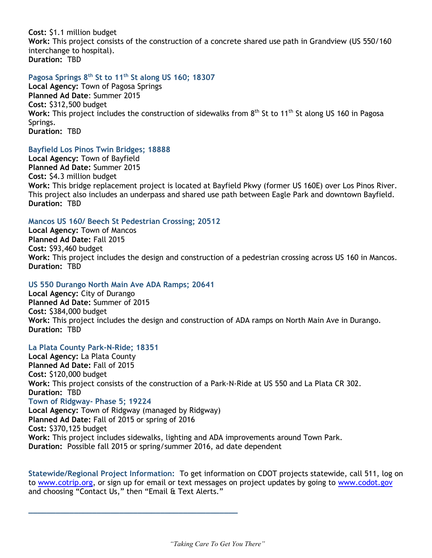**Cost:** \$1.1 million budget

**Work:** This project consists of the construction of a concrete shared use path in Grandview (US 550/160 interchange to hospital). **Duration:** TBD

#### **Pagosa Springs 8th St to 11th St along US 160; 18307**

**Local Agency:** Town of Pagosa Springs **Planned Ad Date**: Summer 2015 **Cost:** \$312,500 budget Work: This project includes the construction of sidewalks from 8<sup>th</sup> St to 11<sup>th</sup> St along US 160 in Pagosa Springs. **Duration:** TBD

#### **Bayfield Los Pinos Twin Bridges; 18888**

**Local Agency:** Town of Bayfield **Planned Ad Date:** Summer 2015 **Cost:** \$4.3 million budget **Work:** This bridge replacement project is located at Bayfield Pkwy (former US 160E) over Los Pinos River. This project also includes an underpass and shared use path between Eagle Park and downtown Bayfield. **Duration:** TBD

#### **Mancos US 160/ Beech St Pedestrian Crossing; 20512**

**Local Agency:** Town of Mancos **Planned Ad Date:** Fall 2015 **Cost:** \$93,460 budget **Work:** This project includes the design and construction of a pedestrian crossing across US 160 in Mancos. **Duration:** TBD

#### **US 550 Durango North Main Ave ADA Ramps; 20641**

*\_\_\_\_\_\_\_\_\_\_\_\_\_\_\_\_\_\_\_\_\_\_\_\_\_\_\_\_\_\_\_\_\_\_\_\_\_\_\_\_\_\_\_\_\_\_*

**Local Agency:** City of Durango **Planned Ad Date:** Summer of 2015 **Cost:** \$384,000 budget **Work:** This project includes the design and construction of ADA ramps on North Main Ave in Durango. **Duration:** TBD

#### **La Plata County Park-N-Ride; 18351**

**Local Agency:** La Plata County **Planned Ad Date:** Fall of 2015 **Cost:** \$120,000 budget **Work:** This project consists of the construction of a Park-N-Ride at US 550 and La Plata CR 302. **Duration:** TBD **Town of Ridgway- Phase 5; 19224 Local Agency:** Town of Ridgway (managed by Ridgway) **Planned Ad Date:** Fall of 2015 or spring of 2016 **Cost:** \$370,125 budget **Work:** This project includes sidewalks, lighting and ADA improvements around Town Park. **Duration:** Possible fall 2015 or spring/summer 2016, ad date dependent

**Statewide/Regional Project Information:** To get information on CDOT projects statewide, call 511, log on to [www.cotrip.org,](http://www.cotrip.org/) or sign up for email or text messages on project updates by going to [www.codot.gov](http://www.codot.gov/) and choosing "Contact Us," then "Email & Text Alerts."